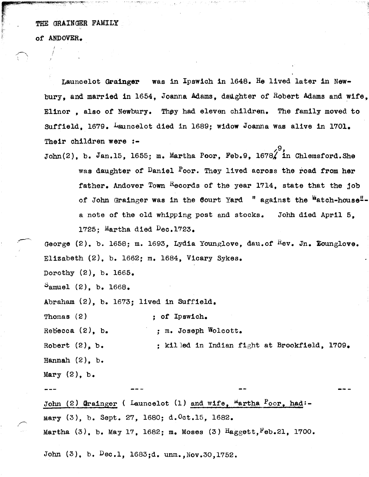THE GRAINGER FAMILY

of ANDOVER.

r- ;;;. M, \_\_ ,,",,\_v .~!'t'''~'''cv",,:-

 $\mathbb{R}^+$  .

Launcelot Grainger was in Ipswich in 1648. He lived later in Newbury, and married in  $1654$ , Joanna Adams, daughter of Robert Adams and wife, Elinor, also of Newbury. They had eleven children. The family moved to Suffield, 1679, Launcelot died in 1689; widow Joanna was alive in 1701. Their children were :-/9,

John(2), b. Jan.15, 1655; m. Martha Poor, Feb.9, 1678 $\chi$  in Chlemsford.She was daughter of Daniel Poor. They lived across the road from her father. Andover Town Records of the year 1714, state that the job of John Grainger was in the Court Yard " against the Watch-house"a note of the old whipping post and stocks. John died April 5, 1725; Martha died Dec.1723.

George (2). b. 1658; m. 1693, Lydia Younglove, dau.of  $^{R}ev$ . Jn. Lounglove. Elizabeth (2). b. 1662; m. 1684, Vicary Sykes.

Dorothy (2), b. 1665.

 $S$ amuel (2), b. 1668.

Abraham (2), b. 1673: lived in Suffield.

Thomas (2)  $\qquad \qquad ;$  of Ipswich.

 $Rebcca (2)$ , b.  $\qquad \qquad ; m.$  Joseph Wolcott.

Robert  $(2)$ , b.  $\qquad \qquad ;$  killed in Indian fight at Brookfield, 1709. Hannah  $(2)$ , b. Mary  $(2)$ , b.

John (2) Grainger ( Launcelot (1) and wife,  $M$ artha  $P$ oor, had:-Mary (3), b. Sept. 27, 1680; d.Oct.15, 1682. Martha  $(3)$ , b. May 17, 1682; m. Moses  $(3)$  Haggett, Feb.21, 1700.

John (3), b. Dec.1, 1683;d. unm., Nov.30, 1752.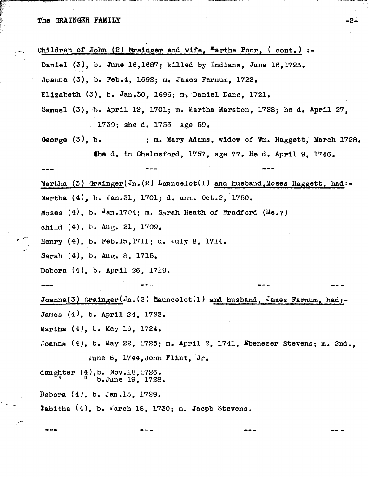Children of John (2)  $6$ rainger and wife,  $^{\text{M}}$ artha Poor, (cont.) :-Daniel (3), b. June 16,1687; killed by Indians, June 16,1723. Joanna (3), b. Feb.4, 1692; m. James Farnum, 1722. Elizabeth (3), b. Jan.30, 1696; m. Daniel Dane, 1721. Samuel (3), b. April 12, 1701; m. Martha Marston, 1728; he d. April 27, . 1739; she d. 1753 age 59. George  $(3)$ , b.  $\qquad \qquad ; \qquad \qquad$  m. Mary Adams. widow of Wm. Haggett. March 1728. **ahe** d. in Chelmsford, 1757, age 77. He d. April 9, 1746. Martha (3) Grainger(Jn.(2) Launcelot(1) and husband, Moses Haggett, had:-Martha  $(4)$ , b. Jan.31, 1701; d. unm. Oct.2, 1750. Moses  $(4)$ , b. Jan.1704; m. Sarah Heath of Bradford (Me.?) ohi1d (4). b. Aug. 21, 1709. Henry (4), b. Feb.15,1711; d. July 8, 1714. Sarah  $(4)$ , b. Aug. 8, 1715. Debora (4), b. April 26, 1719. --- Joanna(3) Grainger(Jn. (2)  $\texttt{Eauncelot}(1)$  and husband, James Farnum, had:-James (4), b. April 24, 1723. Martha  $(4)$ , b. May 16, 1724. Joanna (4), b. May 22, 1725; m. April 2, 1741, Ebenezer Stevens; m. 2nd., June 6, 1744,John Flint, Jr. daughter  $(4)$ , b. Nov.18,1726.  $^{\prime\prime}$   $^{\prime\prime}$   $^{\prime\prime}$  b. June 19, 1728. Debora (4). b. Jan.13, 1729. Tabitha (4), b. March 18, 1730; m. Jacpb Stevens.

-2-

₹È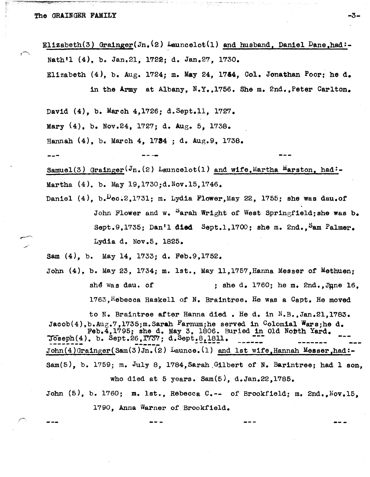Elizabeth(3) Grainger(Jn.<sup>(2)</sup> Launcelot(1) and husband. Daniel Dane.had:-Nath'l (4), b. Jan.21, 1722; d. Jan.27, 1730.

Elizabeth  $(4)$ , b. Aug. 1724; m. May 24, 1744, Col. Jonathan Poor; he d. in the Army at Albany, N.Y.,1756. She m. 2nd.,Peter Carlton.

David (4), b. March 4,1726; d.Sept.ll, 1727.

Mary (4). b. Nov.24, 1727; d. Aug. 5, 1738.

Hannah (4), b. March 4, 1784 ; d. Aug.9. 1738.

--- ----

Samuel(3) Grainger( $J_n$ , (2) Launcelot(1) and wife. Martha Marston, had:-Martha (4). b. May 19,1730;d.Nov.15,1746.

Daniel  $(4)$ , b. $Pec:2, 1731$ ; m. Lydia Flower,May 22, 1755; she was dau.of John Flower and w.  $^S$ arah Wright of West Springfield; she was b. Sept.9.1735; Dan'l died Sept.1.1700; she m. 2nd., Sam Palmer. Lydia d. Nov.5, 1825.

Sam (4), b. May 14, 1733; d. Feb.9,1752.

John (4), b. May 23, 1734; m. 1st., May 11,1757,Hanna Messer of Methuen; she was dau. of ; she d. 1760; he m. 2nd., June 16.  $1763$ , Rebecca Haskell of N. Braintree. He was a Capt. He moved

to N. Braintree after Hanna died. He d. in N.B.,Jan.21,1783. Jacob(4), b.Aug.7,1735; m. Sarah Farnum; he served in Colomial Wars; he d. Feb.4,1795; she d. May 3, 1806. Buried in Old Nobth Yard. Toseph(4), b. Sept.26,I73'7; d.Sept!~L!~!l. \_\_\_ ::: \_\_\_\_\_\_\_ ---  $John(4)Graph(5)dm(3)Jn.(2) *Law*1) and 1st wife, Hannah Messer, had:-$ Sam(5), b. 1759; m. July 8, 1784,Sarah.Gilbert of N. Barintree; had 1 son·, who died at 5 years. Sam $(5)$ , d.Jan.22,1785. John (5), b. 1760; m. lst., Rebecca C.-- of Brookfield; m. 2nd., Nov. 15.

1790, Anna Warner of Brookfield.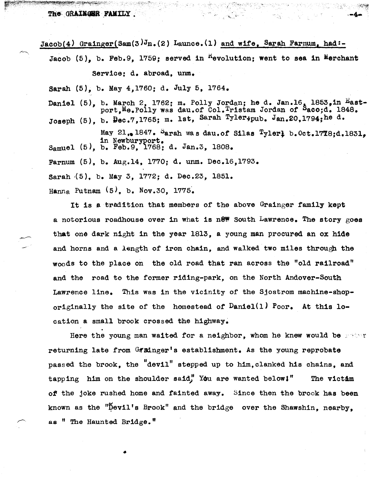The GRAINGER FAMILY.

 $Jacob(4)$  Grainger(Sam(3) $J_n(2)$  Launce.(1) and wife, Sarah Farnum, had:-

Jacob (5), b. Feb.9, 1759; served in <sup>R</sup>evolution; went to sea in Merchant Service: d. abroad, unm. Sarah (5), b. May 4,1760; d. July 5, 1764. Daniel (5), b. March 2, 1762; m. Polly Jordan; he d. Jan.16, 1853, in East-Joseph (5), b. Dec.7,1765; m. 1st, Sarah Tyler; pub. Jan.20,1794; he d. port, Me. Polly was dau.of Col. Tristam Jordan of Saco;d. 1848.

Samuel (5), b. Feb.9, 1768; d. Jan.3, 1808. May 21,. 1847.  $S$ arah was dau.of Silas Tylerl b.Oct.1778:d.1831.

Farnum (5), b. Aug.14, 1770; d. unm. Dec.16,1793.

Sarah (5). b. May 3. 1772; d. Dec.23, 1851.

Hanna Putnam  $(5)$ , b. Nov.30, 1775.

It is a tradition that members of the above Grainger family kept a notorious roadhouse over in what is new South Lawrence. The story goes that one dark night in the year 1813, a young man procured an ox hide and horns and a length of iron chain, and walked two miles through the woods to the place on the old road that ran across the "old railroad" and the road to the former riding-park, on the North Andover-South Lawrence line. This was in the vicinity of the Sjostrom machine-shoporiginally the site of the homestead of  $D$ aniel(1)  $P_{\text{oor}}$ . At this location a small brook crossed the highway.

Here the young man waited for a neighbor, whom he knew would be  $\cdots$ returning late from Grainger's establishment. As the young reprobate passed the brook, the "devil" stepped up to him, clanked his chains, and tapping him on the shoulder said," You are wanted below!" The victom of the joke rushed home and fainted away. Since then the brook has been known as the "Devil's Brook" and the bridge over the Shawshin, nearby. as " The Haunted Bridge."